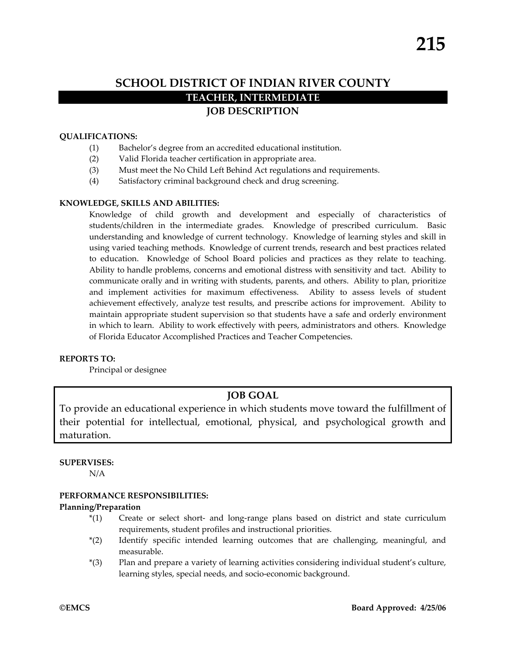# **SCHOOL DISTRICT OF INDIAN RIVER COUNTY TEACHER, INTERMEDIATE JOB DESCRIPTION**

## **QUALIFICATIONS:**

- (1) Bachelor's degree from an accredited educational institution.
- (2) Valid Florida teacher certification in appropriate area.
- (3) Must meet the No Child Left Behind Act regulations and requirements.
- (4) Satisfactory criminal background check and drug screening.

## **KNOWLEDGE, SKILLS AND ABILITIES:**

Knowledge of child growth and development and especially of characteristics of students/children in the intermediate grades. Knowledge of prescribed curriculum. Basic understanding and knowledge of current technology. Knowledge of learning styles and skill in using varied teaching methods. Knowledge of current trends, research and best practices related to education. Knowledge of School Board policies and practices as they relate to teaching. Ability to handle problems, concerns and emotional distress with sensitivity and tact. Ability to communicate orally and in writing with students, parents, and others. Ability to plan, prioritize and implement activities for maximum effectiveness. Ability to assess levels of student achievement effectively, analyze test results, and prescribe actions for improvement. Ability to maintain appropriate student supervision so that students have a safe and orderly environment in which to learn. Ability to work effectively with peers, administrators and others. Knowledge of Florida Educator Accomplished Practices and Teacher Competencies.

## **REPORTS TO:**

Principal or designee

## **JOB GOAL**

To provide an educational experience in which students move toward the fulfillment of their potential for intellectual, emotional, physical, and psychological growth and maturation.

#### **SUPERVISES:**

N/A

#### **PERFORMANCE RESPONSIBILITIES:**

#### **Planning/Preparation**

- \*(1) Create or select short‐ and long‐range plans based on district and state curriculum requirements, student profiles and instructional priorities.
- \*(2) Identify specific intended learning outcomes that are challenging, meaningful, and measurable.
- \*(3) Plan and prepare a variety of learning activities considering individual student's culture, learning styles, special needs, and socio‐economic background.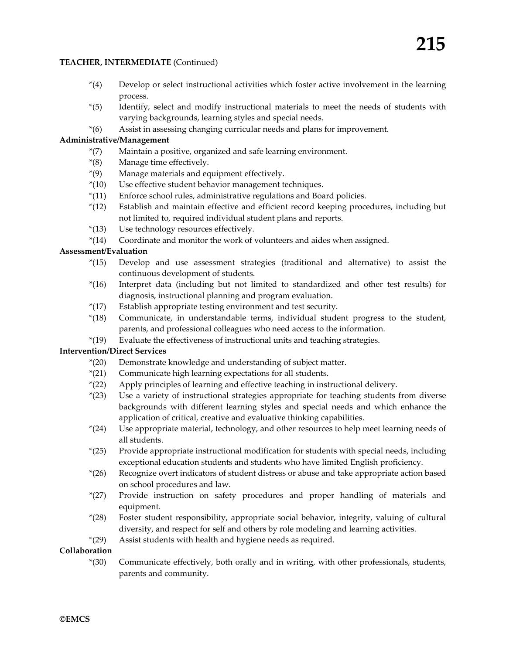## **TEACHER, INTERMEDIATE** (Continued)

- \*(4) Develop or select instructional activities which foster active involvement in the learning process.
- \*(5) Identify, select and modify instructional materials to meet the needs of students with varying backgrounds, learning styles and special needs.
- \*(6) Assist in assessing changing curricular needs and plans for improvement.

## **Administrative/Management**

- \*(7) Maintain a positive, organized and safe learning environment.
- \*(8) Manage time effectively.
- \*(9) Manage materials and equipment effectively.
- \*(10) Use effective student behavior management techniques.
- \*(11) Enforce school rules, administrative regulations and Board policies.
- \*(12) Establish and maintain effective and efficient record keeping procedures, including but not limited to, required individual student plans and reports.
- \*(13) Use technology resources effectively.
- \*(14) Coordinate and monitor the work of volunteers and aides when assigned.

## **Assessment/Evaluation**

- \*(15) Develop and use assessment strategies (traditional and alternative) to assist the continuous development of students.
- \*(16) Interpret data (including but not limited to standardized and other test results) for diagnosis, instructional planning and program evaluation.
- \*(17) Establish appropriate testing environment and test security.
- \*(18) Communicate, in understandable terms, individual student progress to the student, parents, and professional colleagues who need access to the information.
- \*(19) Evaluate the effectiveness of instructional units and teaching strategies.

## **Intervention/Direct Services**

- \*(20) Demonstrate knowledge and understanding of subject matter.
- \*(21) Communicate high learning expectations for all students.
- \*(22) Apply principles of learning and effective teaching in instructional delivery.
- \*(23) Use a variety of instructional strategies appropriate for teaching students from diverse backgrounds with different learning styles and special needs and which enhance the application of critical, creative and evaluative thinking capabilities.
- \*(24) Use appropriate material, technology, and other resources to help meet learning needs of all students.
- \*(25) Provide appropriate instructional modification for students with special needs, including exceptional education students and students who have limited English proficiency.
- \*(26) Recognize overt indicators of student distress or abuse and take appropriate action based on school procedures and law.
- \*(27) Provide instruction on safety procedures and proper handling of materials and equipment.
- \*(28) Foster student responsibility, appropriate social behavior, integrity, valuing of cultural diversity, and respect for self and others by role modeling and learning activities.
- \*(29) Assist students with health and hygiene needs as required.

## **Collaboration**

\*(30) Communicate effectively, both orally and in writing, with other professionals, students, parents and community.